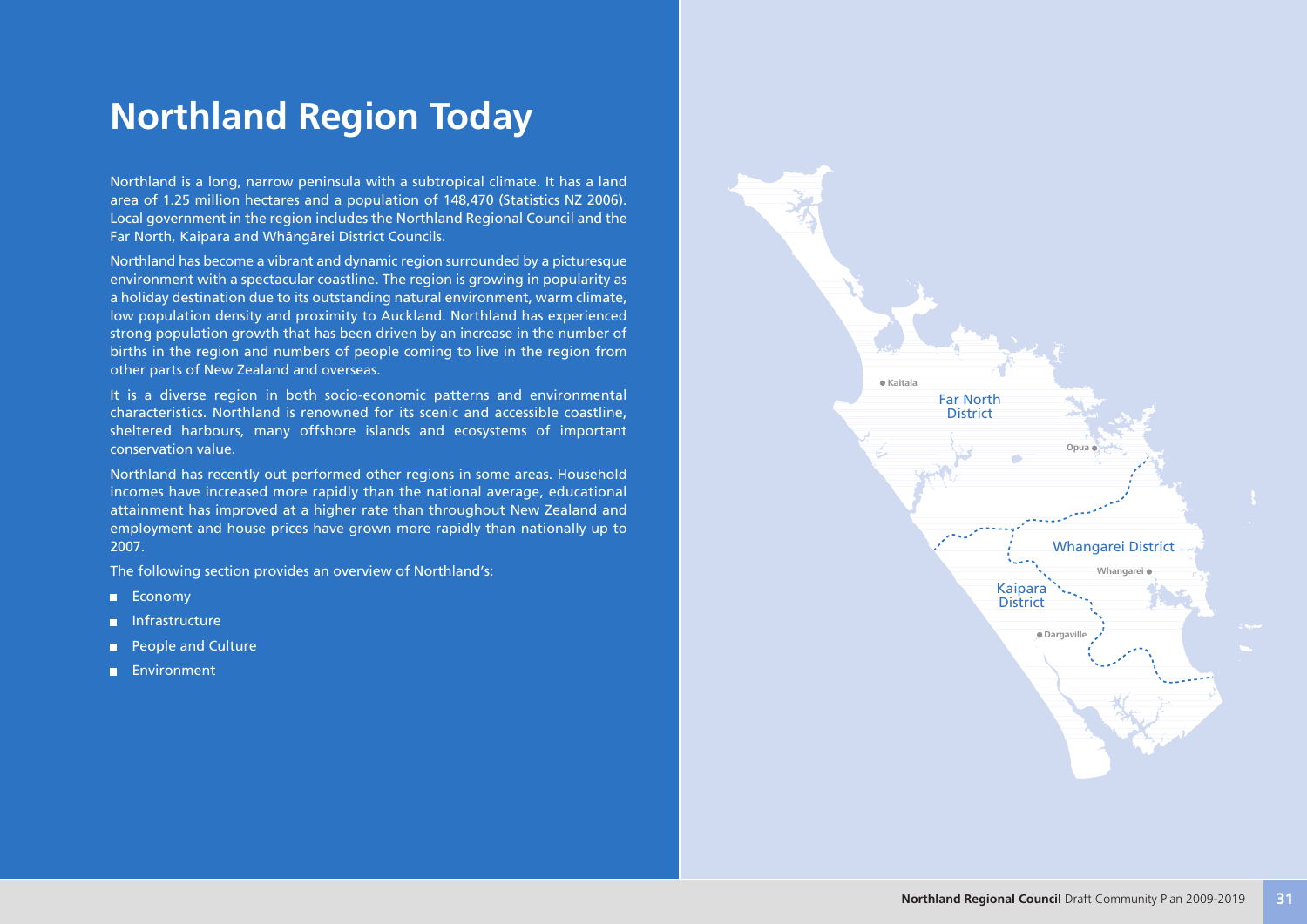# **Northland Region Today**

Northland is a long, narrow peninsula with a subtropical climate. It has a land area of 1.25 million hectares and a population of 148,470 (Statistics NZ 2006). Local government in the region includes the Northland Regional Council and the Far North, Kaipara and Whängärei District Councils.

Northland has become a vibrant and dynamic region surrounded by a picturesque environment with a spectacular coastline. The region is growing in popularity as a holiday destination due to its outstanding natural environment, warm climate, low population density and proximity to Auckland. Northland has experienced strong population growth that has been driven by an increase in the number of births in the region and numbers of people coming to live in the region from other parts of New Zealand and overseas.

It is a diverse region in both socio-economic patterns and environmental characteristics. Northland is renowned for its scenic and accessible coastline, sheltered harbours, many offshore islands and ecosystems of important conservation value.

Northland has recently out performed other regions in some areas. Household incomes have increased more rapidly than the national average, educational attainment has improved at a higher rate than throughout New Zealand and employment and house prices have grown more rapidly than nationally up to 2007.

The following section provides an overview of Northland's:

- **Economy**
- **Infrastructure**
- **People and Culture**
- **Environment**

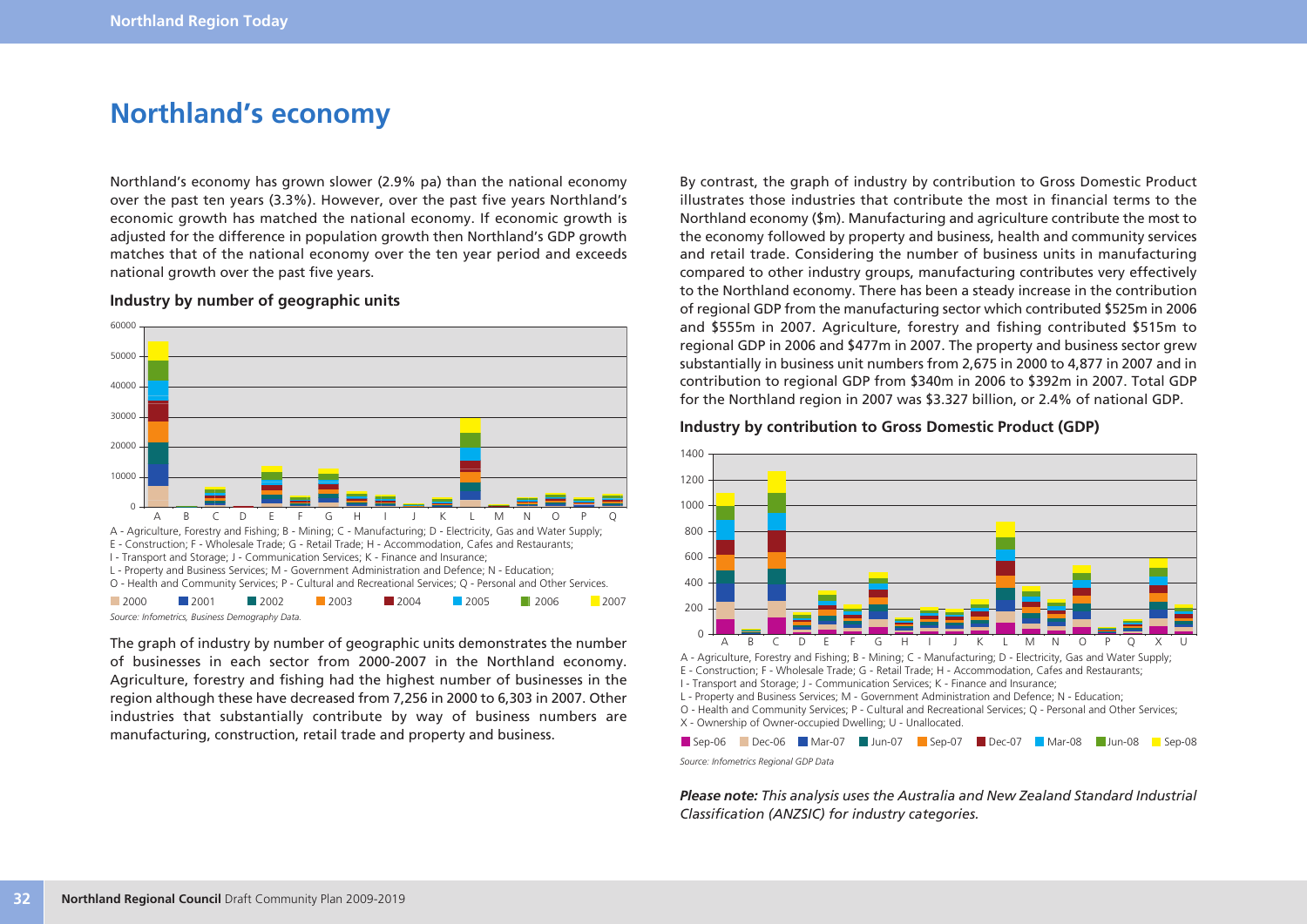## **Northland's economy**

Northland's economy has grown slower (2.9% pa) than the national economy over the past ten years (3.3%). However, over the past five years Northland's economic growth has matched the national economy. If economic growth is adjusted for the difference in population growth then Northland's GDP growth matches that of the national economy over the ten year period and exceeds national growth over the past five years.

#### **Industry by number of geographic units**



The graph of industry by number of geographic units demonstrates the number of businesses in each sector from 2000-2007 in the Northland economy. Agriculture, forestry and fishing had the highest number of businesses in the region although these have decreased from 7,256 in 2000 to 6,303 in 2007. Other industries that substantially contribute by way of business numbers are manufacturing, construction, retail trade and property and business.

By contrast, the graph of industry by contribution to Gross Domestic Product illustrates those industries that contribute the most in financial terms to the Northland economy (\$m). Manufacturing and agriculture contribute the most to the economy followed by property and business, health and community services and retail trade. Considering the number of business units in manufacturing compared to other industry groups, manufacturing contributes very effectively to the Northland economy. There has been a steady increase in the contribution of regional GDP from the manufacturing sector which contributed \$525m in 2006 and \$555m in 2007. Agriculture, forestry and fishing contributed \$515m to regional GDP in 2006 and \$477m in 2007. The property and business sector grew substantially in business unit numbers from 2,675 in 2000 to 4,877 in 2007 and in contribution to regional GDP from \$340m in 2006 to \$392m in 2007. Total GDP for the Northland region in 2007 was \$3.327 billion, or 2.4% of national GDP.

#### **Industry by contribution to Gross Domestic Product (GDP)**



I - Transport and Storage; J - Communication Services; K - Finance and Insurance;

L - Property and Business Services; M - Government Administration and Defence; N - Education;

O - Health and Community Services; P - Cultural and Recreational Services; Q - Personal and Other Services; X - Ownership of Owner-occupied Dwelling; U - Unallocated.

*Source: Infometrics Regional GDP Data* Sep-06 Dec-06 Mar-07 Jun-07 Sep-07 Dec-07 Mar-08 Jun-08 Sep-08

*Please note: This analysis uses the Australia and New Zealand Standard Industrial Classification (ANZSIC) for industry categories.*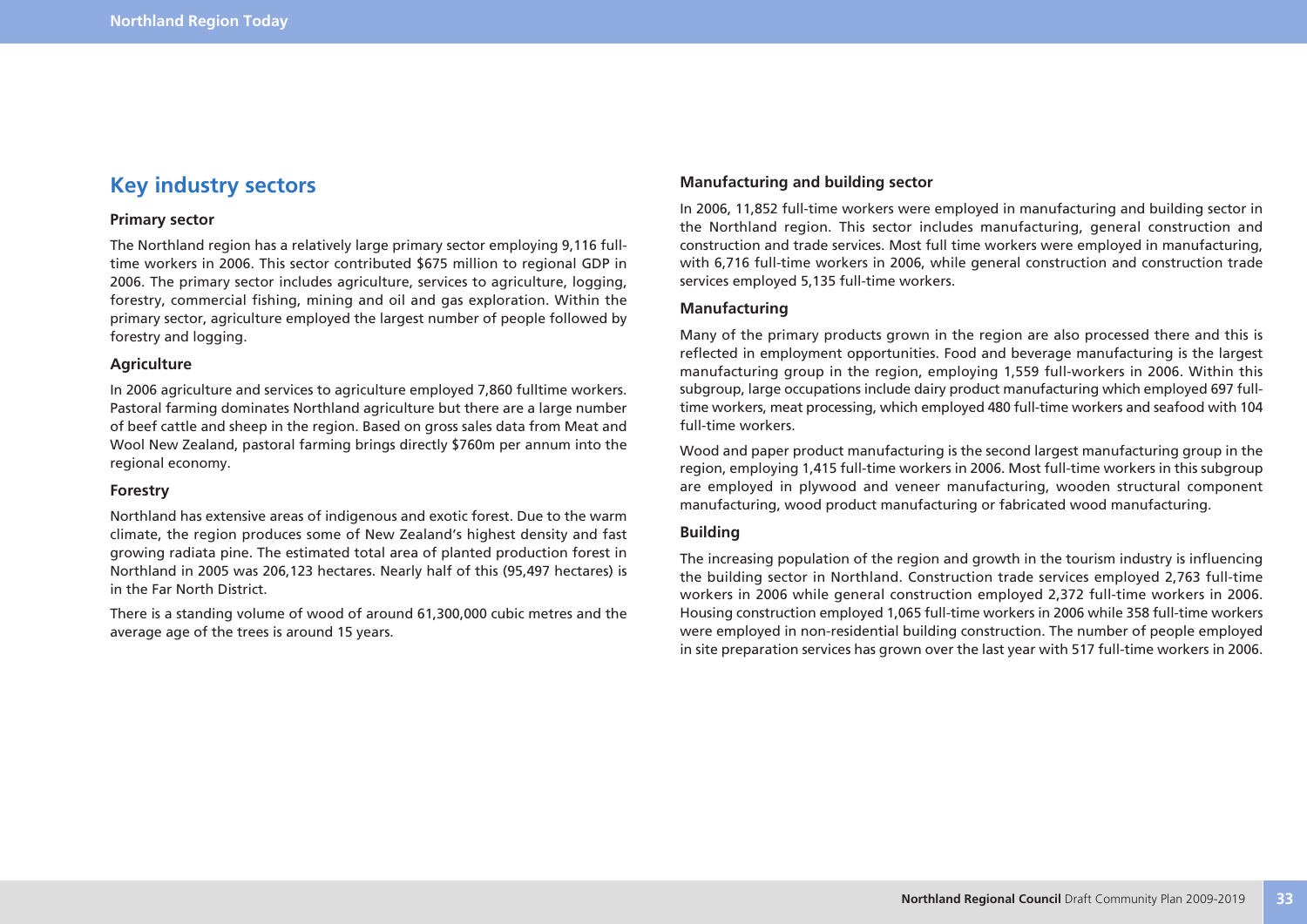## **Key industry sectors**

#### **Primary sector**

The Northland region has a relatively large primary sector employing 9,116 fulltime workers in 2006. This sector contributed \$675 million to regional GDP in 2006. The primary sector includes agriculture, services to agriculture, logging, forestry, commercial fishing, mining and oil and gas exploration. Within the primary sector, agriculture employed the largest number of people followed by forestry and logging.

#### **Agriculture**

In 2006 agriculture and services to agriculture employed 7,860 fulltime workers. Pastoral farming dominates Northland agriculture but there are a large number of beef cattle and sheep in the region. Based on gross sales data from Meat and Wool New Zealand, pastoral farming brings directly \$760m per annum into the regional economy.

#### **Forestry**

Northland has extensive areas of indigenous and exotic forest. Due to the warm climate, the region produces some of New Zealand's highest density and fast growing radiata pine. The estimated total area of planted production forest in Northland in 2005 was 206,123 hectares. Nearly half of this (95,497 hectares) is in the Far North District.

There is a standing volume of wood of around 61,300,000 cubic metres and the average age of the trees is around 15 years.

#### **Manufacturing and building sector**

In 2006, 11,852 full-time workers were employed in manufacturing and building sector in the Northland region. This sector includes manufacturing, general construction and construction and trade services. Most full time workers were employed in manufacturing, with 6,716 full-time workers in 2006, while general construction and construction trade services employed 5,135 full-time workers.

#### **Manufacturing**

Many of the primary products grown in the region are also processed there and this is reflected in employment opportunities. Food and beverage manufacturing is the largest manufacturing group in the region, employing 1,559 full-workers in 2006. Within this subgroup, large occupations include dairy product manufacturing which employed 697 fulltime workers, meat processing, which employed 480 full-time workers and seafood with 104 full-time workers.

Wood and paper product manufacturing is the second largest manufacturing group in the region, employing 1,415 full-time workers in 2006. Most full-time workers in this subgroup are employed in plywood and veneer manufacturing, wooden structural component manufacturing, wood product manufacturing or fabricated wood manufacturing.

#### **Building**

The increasing population of the region and growth in the tourism industry is influencing the building sector in Northland. Construction trade services employed 2,763 full-time workers in 2006 while general construction employed 2,372 full-time workers in 2006. Housing construction employed 1,065 full-time workers in 2006 while 358 full-time workers were employed in non-residential building construction. The number of people employed in site preparation services has grown over the last year with 517 full-time workers in 2006.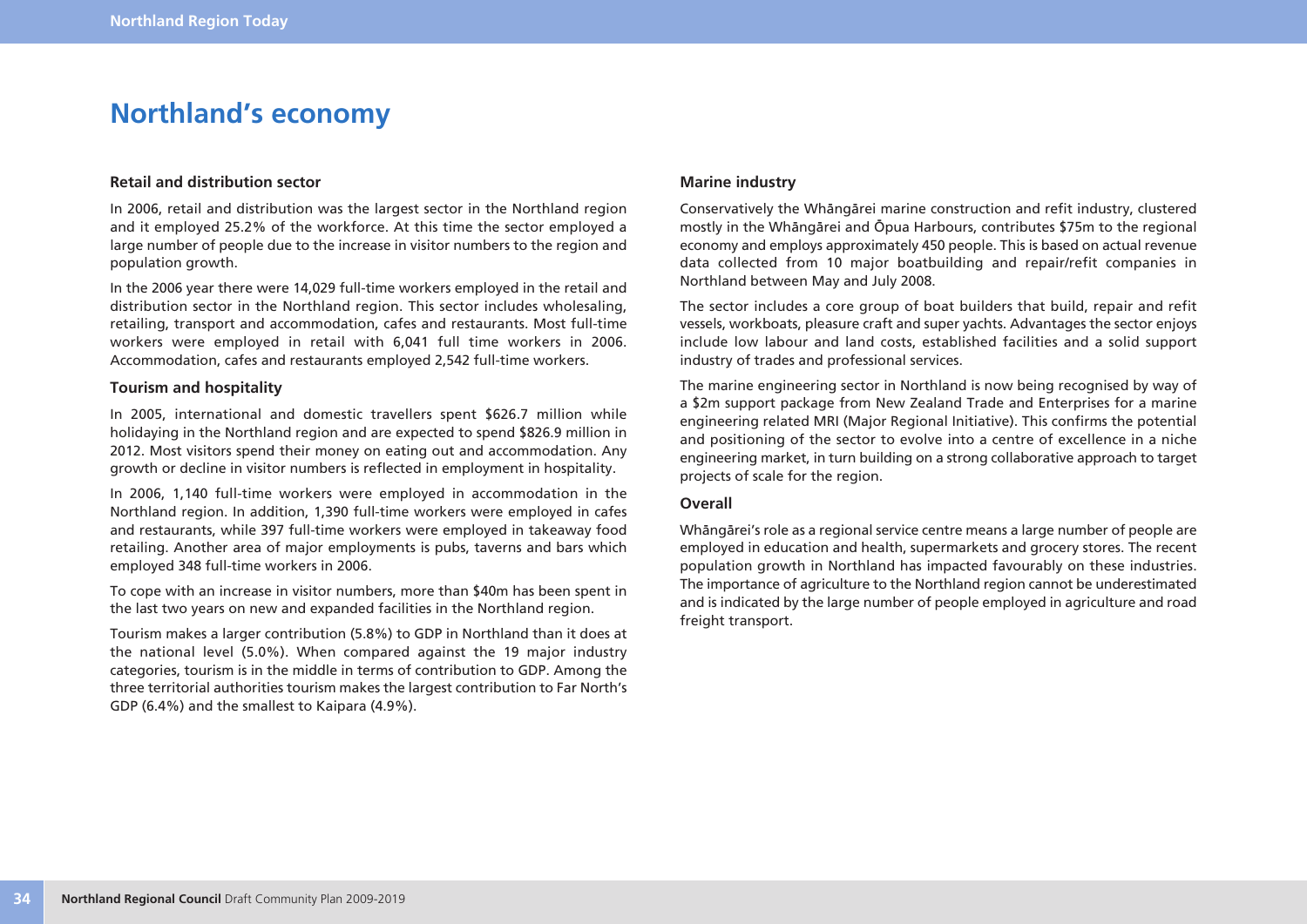## **Northland's economy**

#### **Retail and distribution sector**

In 2006, retail and distribution was the largest sector in the Northland region and it employed 25.2% of the workforce. At this time the sector employed a large number of people due to the increase in visitor numbers to the region and population growth.

In the 2006 year there were 14,029 full-time workers employed in the retail and distribution sector in the Northland region. This sector includes wholesaling, retailing, transport and accommodation, cafes and restaurants. Most full-time workers were employed in retail with 6,041 full time workers in 2006. Accommodation, cafes and restaurants employed 2,542 full-time workers.

#### **Tourism and hospitality**

In 2005, international and domestic travellers spent \$626.7 million while holidaying in the Northland region and are expected to spend \$826.9 million in 2012. Most visitors spend their money on eating out and accommodation. Any growth or decline in visitor numbers is reflected in employment in hospitality.

In 2006, 1,140 full-time workers were employed in accommodation in the Northland region. In addition, 1,390 full-time workers were employed in cafes and restaurants, while 397 full-time workers were employed in takeaway food retailing. Another area of major employments is pubs, taverns and bars which employed 348 full-time workers in 2006.

To cope with an increase in visitor numbers, more than \$40m has been spent in the last two years on new and expanded facilities in the Northland region.

Tourism makes a larger contribution (5.8%) to GDP in Northland than it does at the national level (5.0%). When compared against the 19 major industry categories, tourism is in the middle in terms of contribution to GDP. Among the three territorial authorities tourism makes the largest contribution to Far North's GDP (6.4%) and the smallest to Kaipara (4.9%).

#### **Marine industry**

Conservatively the Whängärei marine construction and refit industry, clustered mostly in the Whängärei and Öpua Harbours, contributes \$75m to the regional economy and employs approximately 450 people. This is based on actual revenue data collected from 10 major boatbuilding and repair/refit companies in Northland between May and July 2008.

The sector includes a core group of boat builders that build, repair and refit vessels, workboats, pleasure craft and super yachts. Advantages the sector enjoys include low labour and land costs, established facilities and a solid support industry of trades and professional services.

The marine engineering sector in Northland is now being recognised by way of a \$2m support package from New Zealand Trade and Enterprises for a marine engineering related MRI (Major Regional Initiative). This confirms the potential and positioning of the sector to evolve into a centre of excellence in a niche engineering market, in turn building on a strong collaborative approach to target projects of scale for the region.

#### **Overall**

Whängärei's role as a regional service centre means a large number of people are employed in education and health, supermarkets and grocery stores. The recent population growth in Northland has impacted favourably on these industries. The importance of agriculture to the Northland region cannot be underestimated and is indicated by the large number of people employed in agriculture and road freight transport.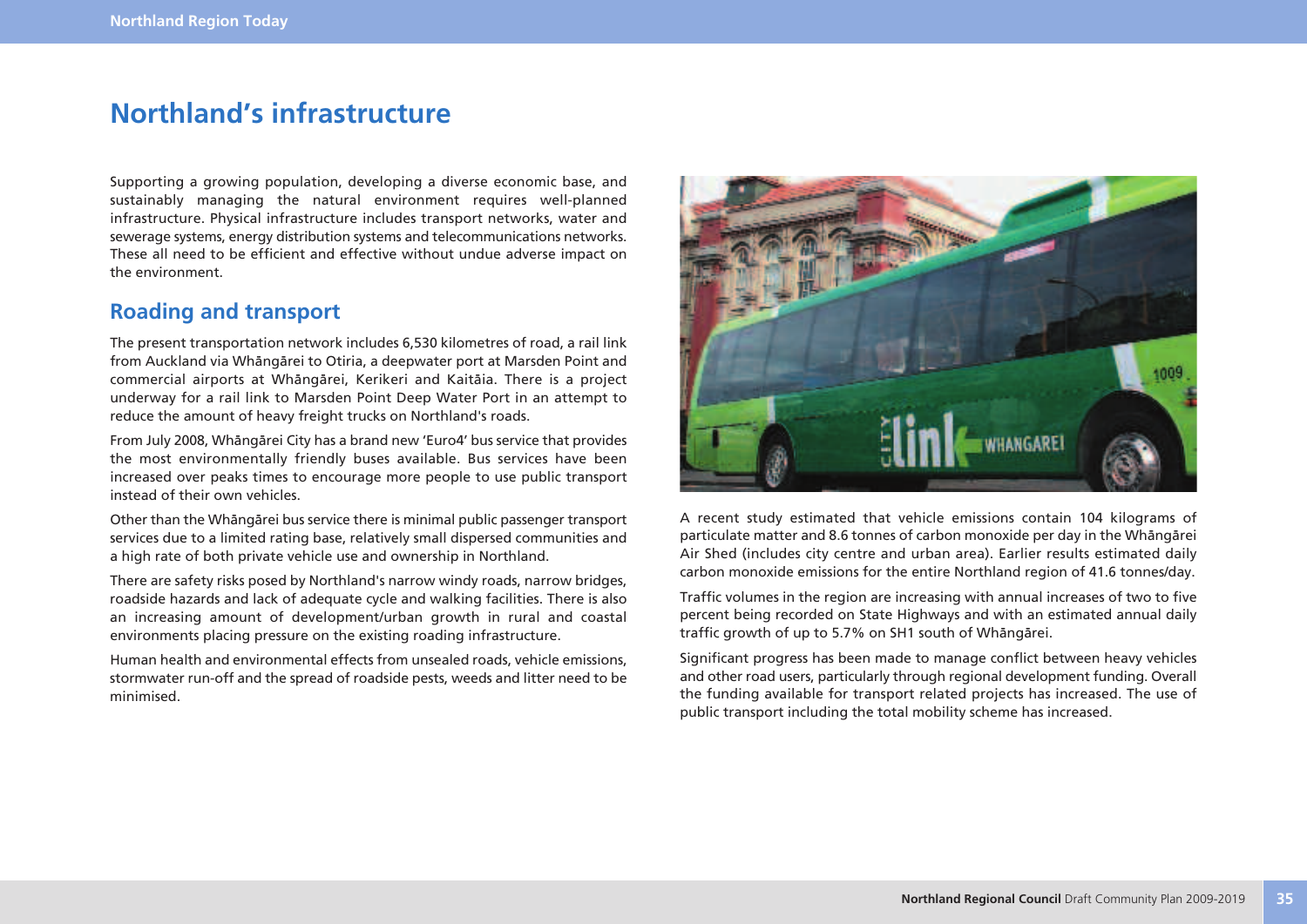## **Northland's infrastructure**

Supporting a growing population, developing a diverse economic base, and sustainably managing the natural environment requires well-planned infrastructure. Physical infrastructure includes transport networks, water and sewerage systems, energy distribution systems and telecommunications networks. These all need to be efficient and effective without undue adverse impact on the environment.

## **Roading and transport**

The present transportation network includes 6,530 kilometres of road, a rail link from Auckland via Whängärei to Otiria, a deepwater port at Marsden Point and commercial airports at Whängärei, Kerikeri and Kaitäia. There is a project underway for a rail link to Marsden Point Deep Water Port in an attempt to reduce the amount of heavy freight trucks on Northland's roads.

From July 2008, Whängärei City has a brand new 'Euro4' bus service that provides the most environmentally friendly buses available. Bus services have been increased over peaks times to encourage more people to use public transport instead of their own vehicles.

Other than the Whängärei bus service there is minimal public passenger transport services due to a limited rating base, relatively small dispersed communities and a high rate of both private vehicle use and ownership in Northland.

There are safety risks posed by Northland's narrow windy roads, narrow bridges, roadside hazards and lack of adequate cycle and walking facilities. There is also an increasing amount of development/urban growth in rural and coastal environments placing pressure on the existing roading infrastructure.

Human health and environmental effects from unsealed roads, vehicle emissions, stormwater run-off and the spread of roadside pests, weeds and litter need to be minimised.



A recent study estimated that vehicle emissions contain 104 kilograms of particulate matter and 8.6 tonnes of carbon monoxide per day in the Whängärei Air Shed (includes city centre and urban area). Earlier results estimated daily carbon monoxide emissions for the entire Northland region of 41.6 tonnes/day.

Traffic volumes in the region are increasing with annual increases of two to five percent being recorded on State Highways and with an estimated annual daily traffic growth of up to 5.7% on SH1 south of Whängärei.

Significant progress has been made to manage conflict between heavy vehicles and other road users, particularly through regional development funding. Overall the funding available for transport related projects has increased. The use of public transport including the total mobility scheme has increased.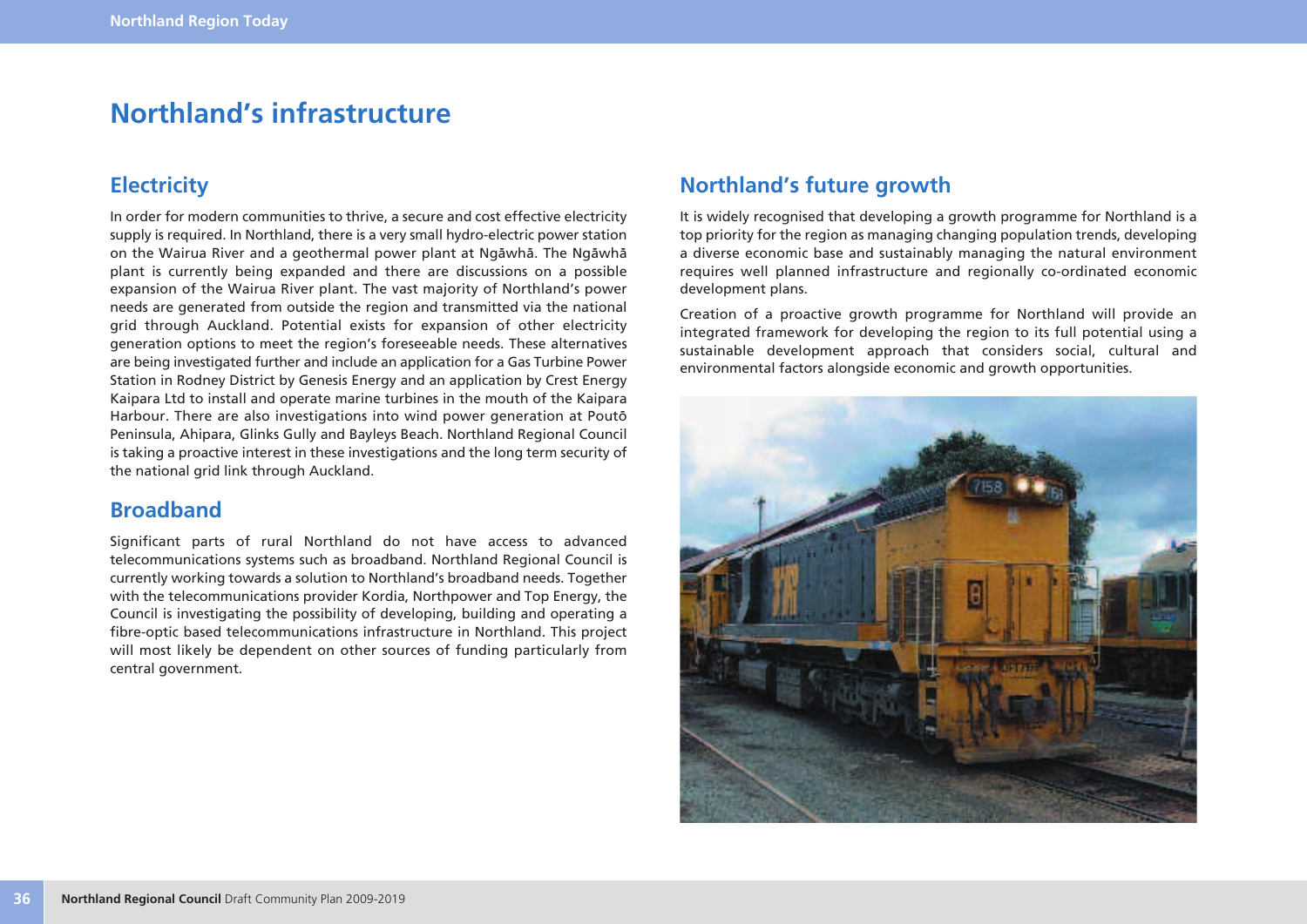## **Northland's infrastructure**

## **Electricity**

In order for modern communities to thrive, a secure and cost effective electricity supply is required. In Northland, there is a very small hydro-electric power station on the Wairua River and a geothermal power plant at Ngäwhä. The Ngäwhä plant is currently being expanded and there are discussions on a possible expansion of the Wairua River plant. The vast majority of Northland's power needs are generated from outside the region and transmitted via the national grid through Auckland. Potential exists for expansion of other electricity generation options to meet the region's foreseeable needs. These alternatives are being investigated further and include an application for a Gas Turbine Power Station in Rodney District by Genesis Energy and an application by Crest Energy Kaipara Ltd to install and operate marine turbines in the mouth of the Kaipara Harbour. There are also investigations into wind power generation at Poutö Peninsula, Ahipara, Glinks Gully and Bayleys Beach. Northland Regional Council is taking a proactive interest in these investigations and the long term security of the national grid link through Auckland.

### **Broadband**

Significant parts of rural Northland do not have access to advanced telecommunications systems such as broadband. Northland Regional Council is currently working towards a solution to Northland's broadband needs. Together with the telecommunications provider Kordia, Northpower and Top Energy, the Council is investigating the possibility of developing, building and operating a fibre-optic based telecommunications infrastructure in Northland. This project will most likely be dependent on other sources of funding particularly from central government.

## **Northland's future growth**

It is widely recognised that developing a growth programme for Northland is a top priority for the region as managing changing population trends, developing a diverse economic base and sustainably managing the natural environment requires well planned infrastructure and regionally co-ordinated economic development plans.

Creation of a proactive growth programme for Northland will provide an integrated framework for developing the region to its full potential using a sustainable development approach that considers social, cultural and environmental factors alongside economic and growth opportunities.

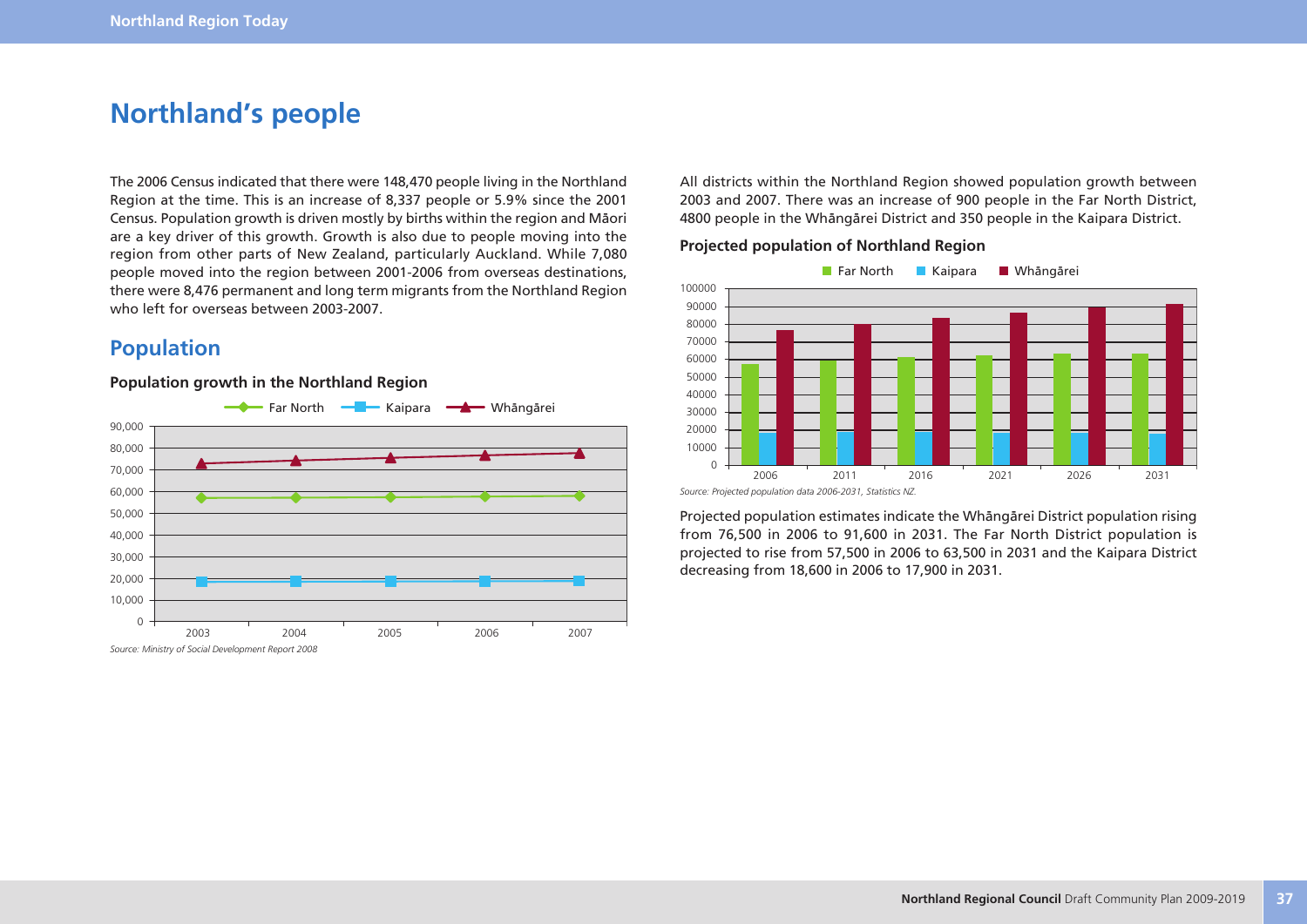## **Northland's people**

The 2006 Census indicated that there were 148,470 people living in the Northland Region at the time. This is an increase of 8,337 people or 5.9% since the 2001 Census. Population growth is driven mostly by births within the region and Mäori are a key driver of this growth. Growth is also due to people moving into the region from other parts of New Zealand, particularly Auckland. While 7,080 people moved into the region between 2001-2006 from overseas destinations, there were 8,476 permanent and long term migrants from the Northland Region who left for overseas between 2003-2007.

## **Population**

#### **Population growth in the Northland Region**



All districts within the Northland Region showed population growth between 2003 and 2007. There was an increase of 900 people in the Far North District, 4800 people in the Whängärei District and 350 people in the Kaipara District.

#### **Projected population of Northland Region**



Projected population estimates indicate the Whängärei District population rising from 76,500 in 2006 to 91,600 in 2031. The Far North District population is projected to rise from 57,500 in 2006 to 63,500 in 2031 and the Kaipara District decreasing from 18,600 in 2006 to 17,900 in 2031.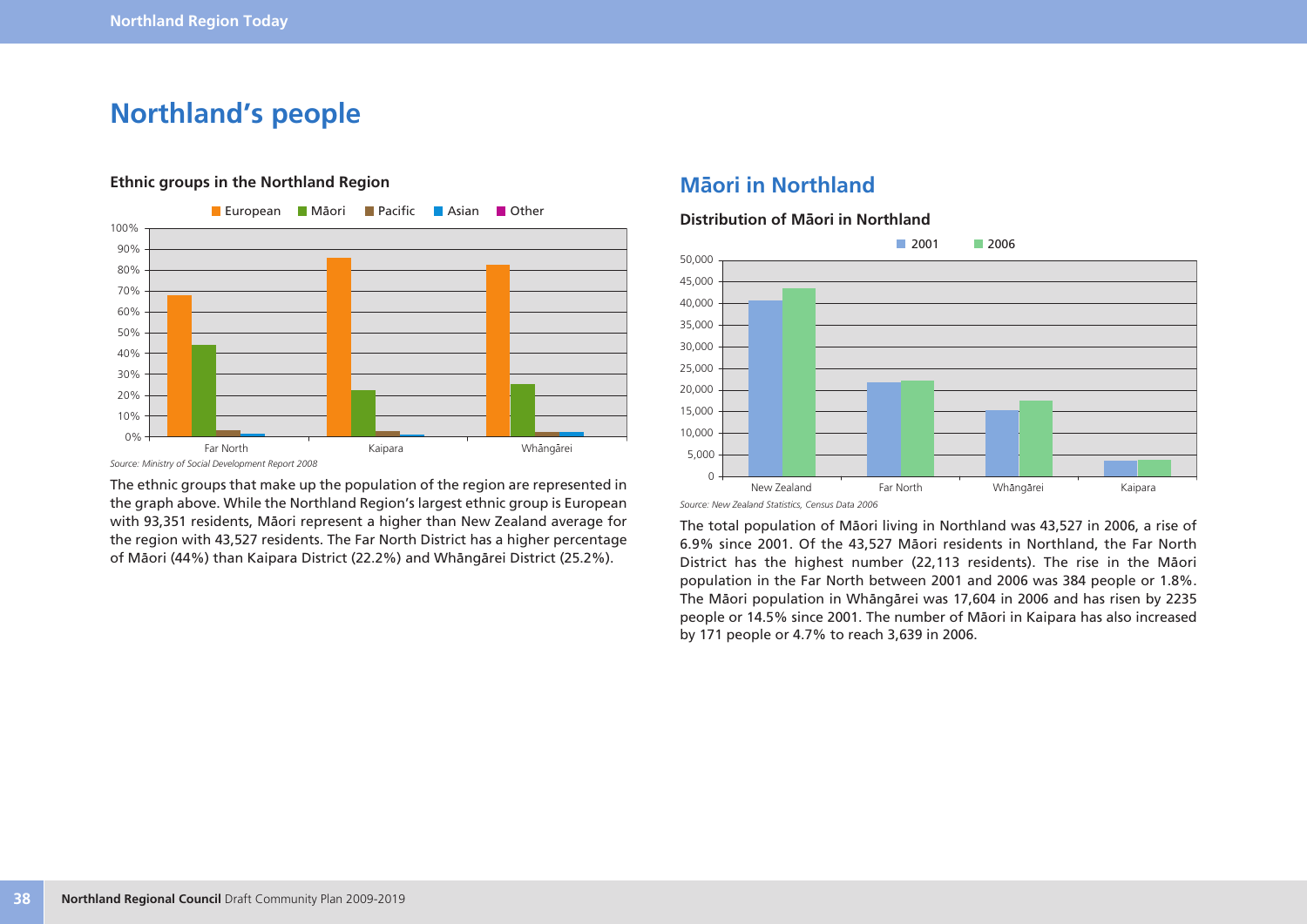## **Northland's people**



#### **Ethnic groups in the Northland Region**

*Source: Ministry of Social Development Report 2008*

The ethnic groups that make up the population of the region are represented in the graph above. While the Northland Region's largest ethnic group is European with 93,351 residents, Mäori represent a higher than New Zealand average for the region with 43,527 residents. The Far North District has a higher percentage of Mäori (44%) than Kaipara District (22.2%) and Whängärei District (25.2%).

## **Mäori in Northland**

#### **Distribution of Mäori in Northland**



*Source: New Zealand Statistics, Census Data 2006*

The total population of Mäori living in Northland was 43,527 in 2006, a rise of 6.9% since 2001. Of the 43,527 Mäori residents in Northland, the Far North District has the highest number (22,113 residents). The rise in the Mäori population in the Far North between 2001 and 2006 was 384 people or 1.8%. The Mäori population in Whängärei was 17,604 in 2006 and has risen by 2235 people or 14.5% since 2001. The number of Mäori in Kaipara has also increased by 171 people or 4.7% to reach 3,639 in 2006.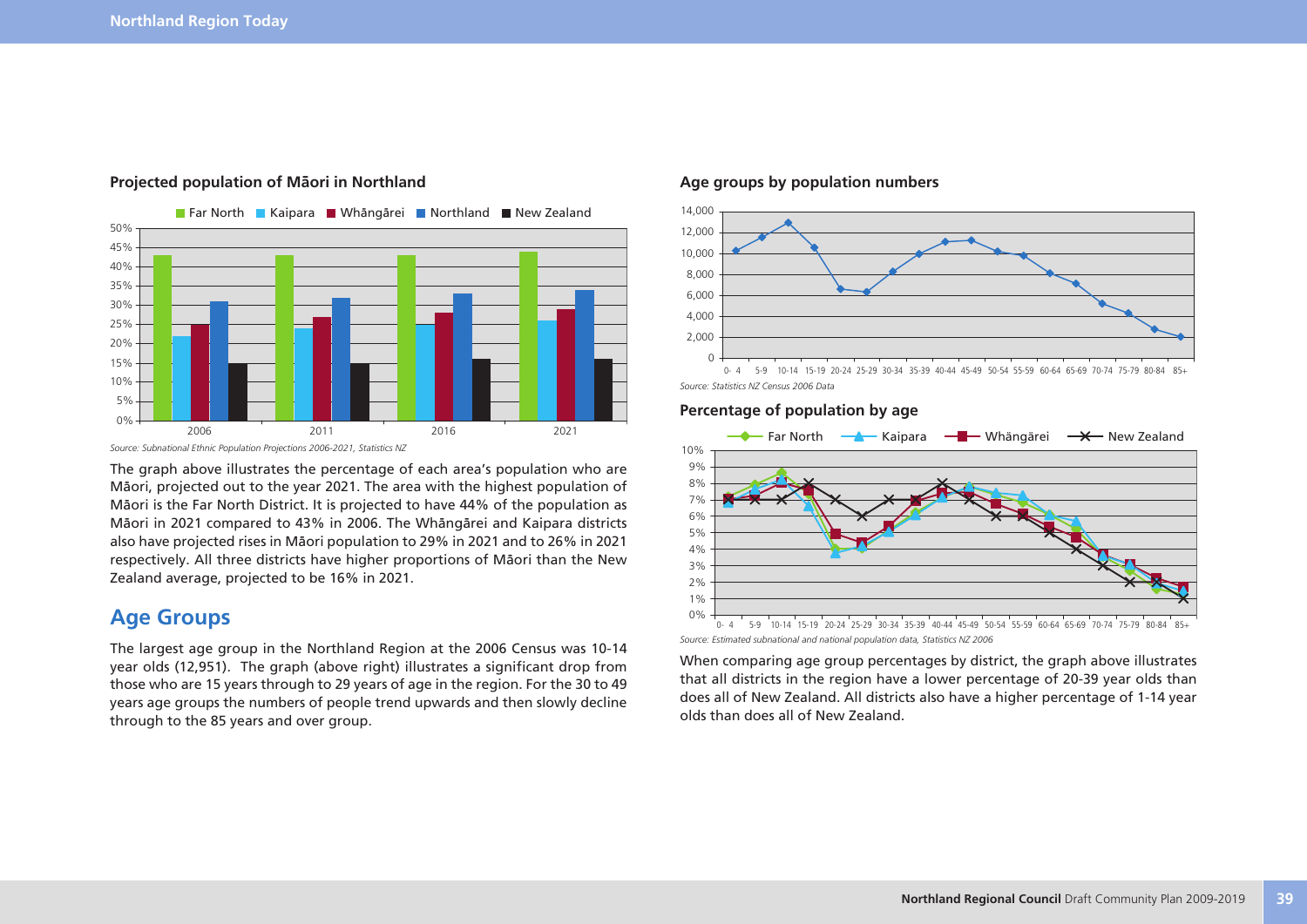

#### **Projected population of Mäori in Northland**

**Age groups by population numbers**



*Source: Statistics NZ Census 2006 Data*

#### **Percentage of population by age**



*Source: Estimated subnational and national population data, Statistics NZ 2006*

When comparing age group percentages by district, the graph above illustrates that all districts in the region have a lower percentage of 20-39 year olds than does all of New Zealand. All districts also have a higher percentage of 1-14 year olds than does all of New Zealand.



The graph above illustrates the percentage of each area's population who are Mäori, projected out to the year 2021. The area with the highest population of Mäori is the Far North District. It is projected to have 44% of the population as Mäori in 2021 compared to 43% in 2006. The Whängärei and Kaipara districts also have projected rises in Mäori population to 29% in 2021 and to 26% in 2021 respectively. All three districts have higher proportions of Mäori than the New Zealand average, projected to be 16% in 2021.

### **Age Groups**

The largest age group in the Northland Region at the 2006 Census was 10-14 year olds (12,951). The graph (above right) illustrates a significant drop from those who are 15 years through to 29 years of age in the region. For the 30 to 49 years age groups the numbers of people trend upwards and then slowly decline through to the 85 years and over group.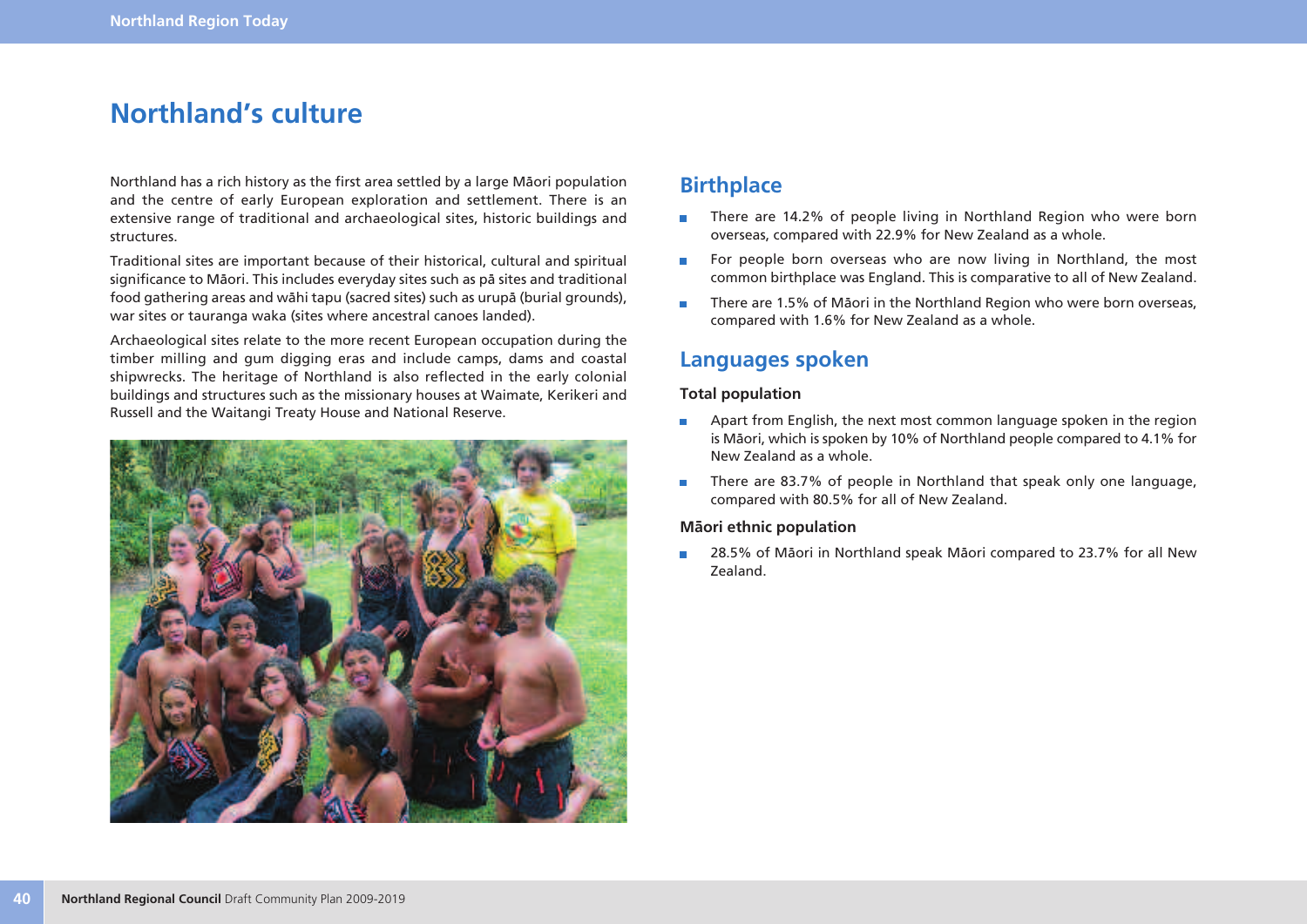## **Northland's culture**

Northland has a rich history as the first area settled by a large Mäori population and the centre of early European exploration and settlement. There is an extensive range of traditional and archaeological sites, historic buildings and structures.

Traditional sites are important because of their historical, cultural and spiritual significance to Mäori. This includes everyday sites such as pä sites and traditional food gathering areas and wähi tapu (sacred sites) such as urupä (burial grounds), war sites or tauranga waka (sites where ancestral canoes landed).

Archaeological sites relate to the more recent European occupation during the timber milling and gum digging eras and include camps, dams and coastal shipwrecks. The heritage of Northland is also reflected in the early colonial buildings and structures such as the missionary houses at Waimate, Kerikeri and Russell and the Waitangi Treaty House and National Reserve.



### **Birthplace**

- There are 14.2% of people living in Northland Region who were born  $\Box$ overseas, compared with 22.9% for New Zealand as a whole.
- For people born overseas who are now living in Northland, the most  $\overline{\phantom{a}}$ common birthplace was England. This is comparative to all of New Zealand.
- There are 1.5% of Mäori in the Northland Region who were born overseas,  $\mathcal{C}^{\mathcal{A}}$ compared with 1.6% for New Zealand as a whole.

### **Languages spoken**

#### **Total population**

- Apart from English, the next most common language spoken in the region  $\mathcal{L}_{\mathcal{A}}$ is Mäori, which is spoken by 10% of Northland people compared to 4.1% for New Zealand as a whole.
- There are 83.7% of people in Northland that speak only one language, m. compared with 80.5% for all of New Zealand.

#### **Mäori ethnic population**

28.5% of Mäori in Northland speak Mäori compared to 23.7% for all New  $\overline{\phantom{a}}$ Zealand.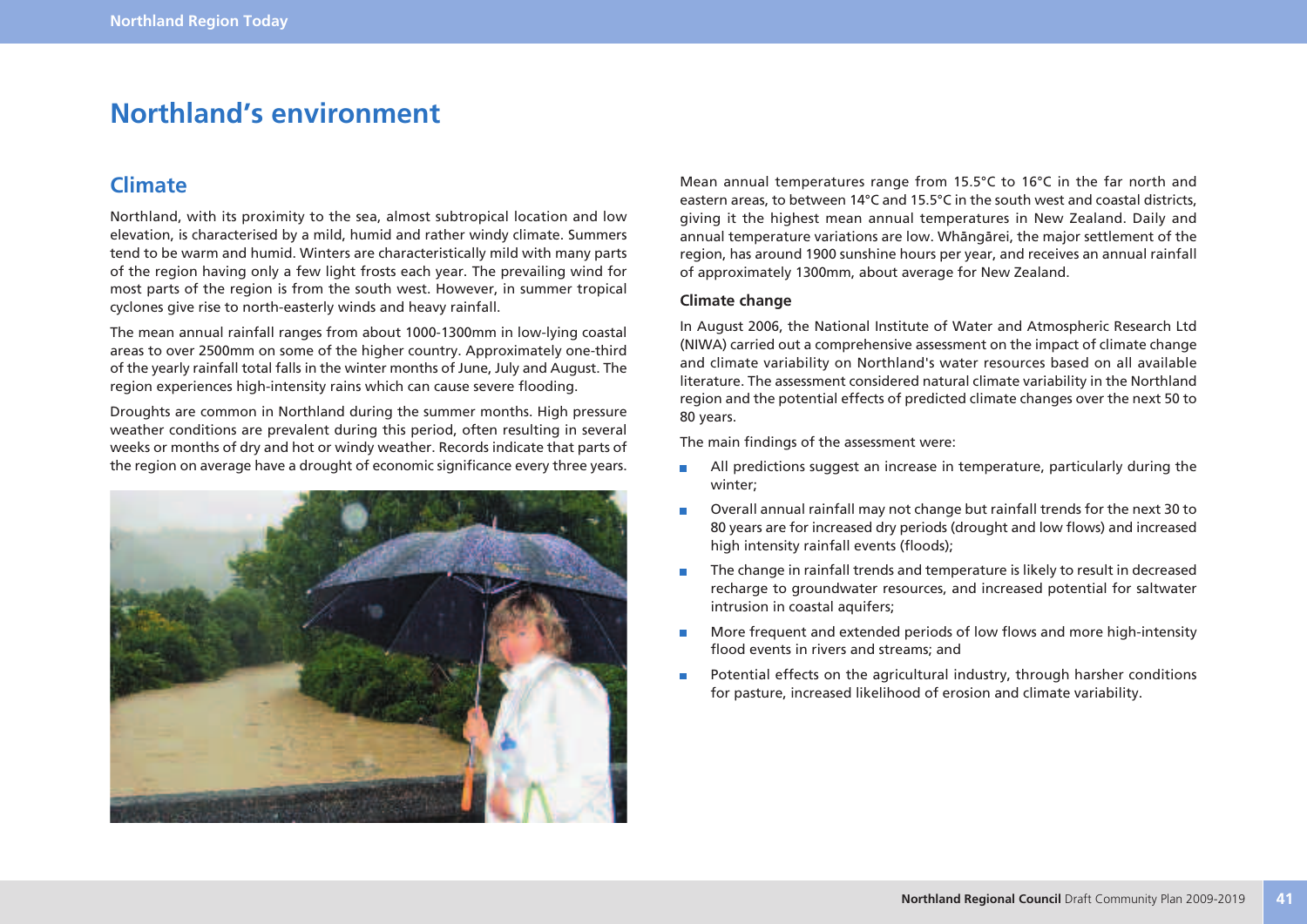## **Northland's environment**

### **Climate**

Northland, with its proximity to the sea, almost subtropical location and low elevation, is characterised by a mild, humid and rather windy climate. Summers tend to be warm and humid. Winters are characteristically mild with many parts of the region having only a few light frosts each year. The prevailing wind for most parts of the region is from the south west. However, in summer tropical cyclones give rise to north-easterly winds and heavy rainfall.

The mean annual rainfall ranges from about 1000-1300mm in low-lying coastal areas to over 2500mm on some of the higher country. Approximately one-third of the yearly rainfall total falls in the winter months of June, July and August. The region experiences high-intensity rains which can cause severe flooding.

Droughts are common in Northland during the summer months. High pressure weather conditions are prevalent during this period, often resulting in several weeks or months of dry and hot or windy weather. Records indicate that parts of the region on average have a drought of economic significance every three years.



Mean annual temperatures range from 15.5°C to 16°C in the far north and eastern areas, to between 14°C and 15.5°C in the south west and coastal districts, giving it the highest mean annual temperatures in New Zealand. Daily and annual temperature variations are low. Whängärei, the major settlement of the region, has around 1900 sunshine hours per year, and receives an annual rainfall of approximately 1300mm, about average for New Zealand.

#### **Climate change**

In August 2006, the National Institute of Water and Atmospheric Research Ltd (NIWA) carried out a comprehensive assessment on the impact of climate change and climate variability on Northland's water resources based on all available literature. The assessment considered natural climate variability in the Northland region and the potential effects of predicted climate changes over the next 50 to 80 years.

The main findings of the assessment were:

- All predictions suggest an increase in temperature, particularly during the  $\blacksquare$ winter;
- Overall annual rainfall may not change but rainfall trends for the next 30 to  $\blacksquare$ 80 years are for increased dry periods (drought and low flows) and increased high intensity rainfall events (floods);
- The change in rainfall trends and temperature is likely to result in decreased recharge to groundwater resources, and increased potential for saltwater intrusion in coastal aquifers;
- m. More frequent and extended periods of low flows and more high-intensity flood events in rivers and streams; and
- Potential effects on the agricultural industry, through harsher conditions  $\blacksquare$ for pasture, increased likelihood of erosion and climate variability.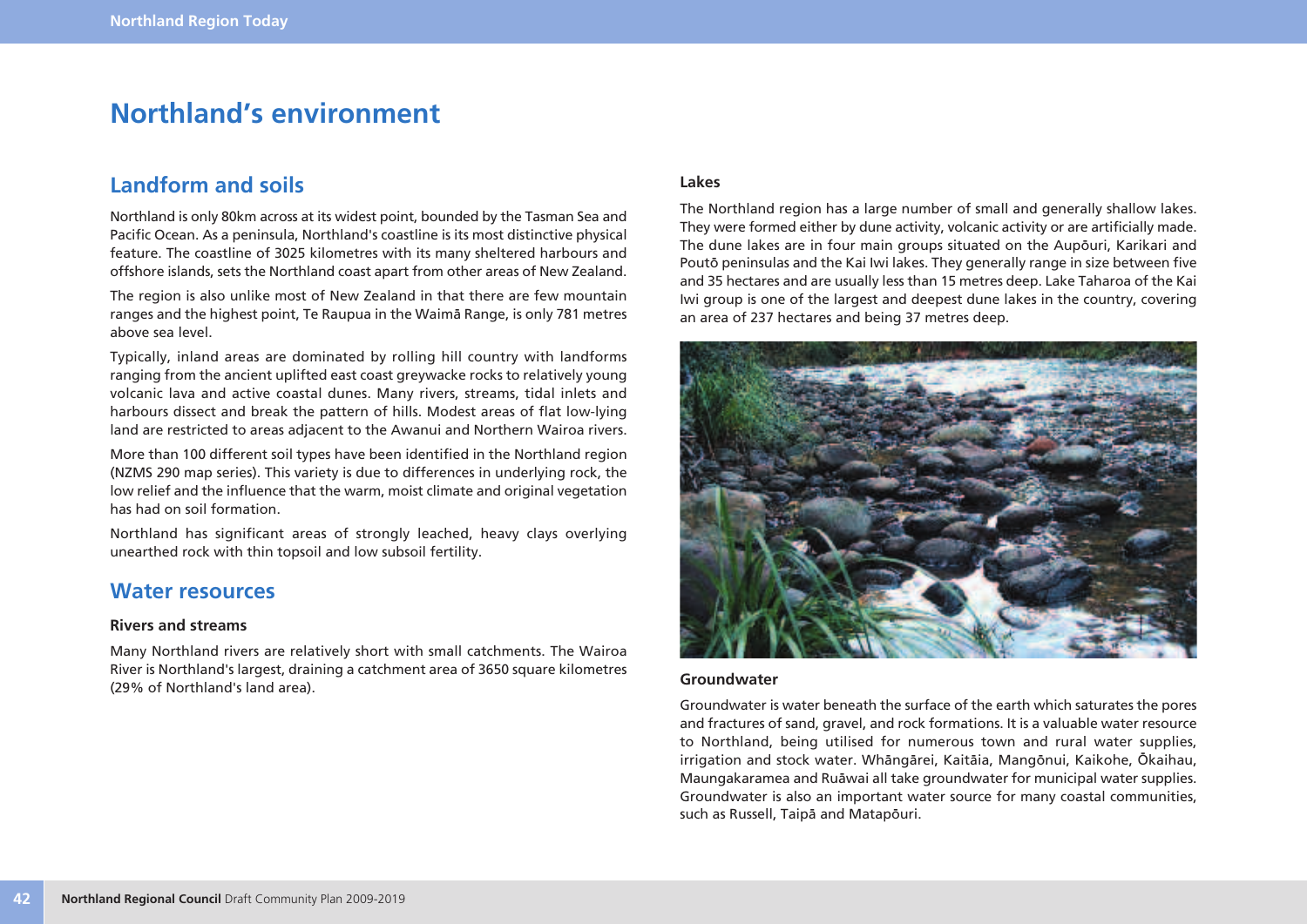## **Northland's environment**

### **Landform and soils**

Northland is only 80km across at its widest point, bounded by the Tasman Sea and Pacific Ocean. As a peninsula, Northland's coastline is its most distinctive physical feature. The coastline of 3025 kilometres with its many sheltered harbours and offshore islands, sets the Northland coast apart from other areas of New Zealand.

The region is also unlike most of New Zealand in that there are few mountain ranges and the highest point, Te Raupua in the Waimä Range, is only 781 metres above sea level.

Typically, inland areas are dominated by rolling hill country with landforms ranging from the ancient uplifted east coast greywacke rocks to relatively young volcanic lava and active coastal dunes. Many rivers, streams, tidal inlets and harbours dissect and break the pattern of hills. Modest areas of flat low-lying land are restricted to areas adjacent to the Awanui and Northern Wairoa rivers.

More than 100 different soil types have been identified in the Northland region (NZMS 290 map series). This variety is due to differences in underlying rock, the low relief and the influence that the warm, moist climate and original vegetation has had on soil formation.

Northland has significant areas of strongly leached, heavy clays overlying unearthed rock with thin topsoil and low subsoil fertility.

### **Water resources**

#### **Rivers and streams**

Many Northland rivers are relatively short with small catchments. The Wairoa River is Northland's largest, draining a catchment area of 3650 square kilometres (29% of Northland's land area).

#### **Lakes**

The Northland region has a large number of small and generally shallow lakes. They were formed either by dune activity, volcanic activity or are artificially made. The dune lakes are in four main groups situated on the Aupöuri, Karikari and Poutö peninsulas and the Kai Iwi lakes. They generally range in size between five and 35 hectares and are usually less than 15 metres deep. Lake Taharoa of the Kai Iwi group is one of the largest and deepest dune lakes in the country, covering an area of 237 hectares and being 37 metres deep.



#### **Groundwater**

Groundwater is water beneath the surface of the earth which saturates the pores and fractures of sand, gravel, and rock formations. It is a valuable water resource to Northland, being utilised for numerous town and rural water supplies, irrigation and stock water. Whängärei, Kaitäia, Mangönui, Kaikohe, Ökaihau, Maungakaramea and Ruäwai all take groundwater for municipal water supplies. Groundwater is also an important water source for many coastal communities, such as Russell, Taipä and Matapöuri.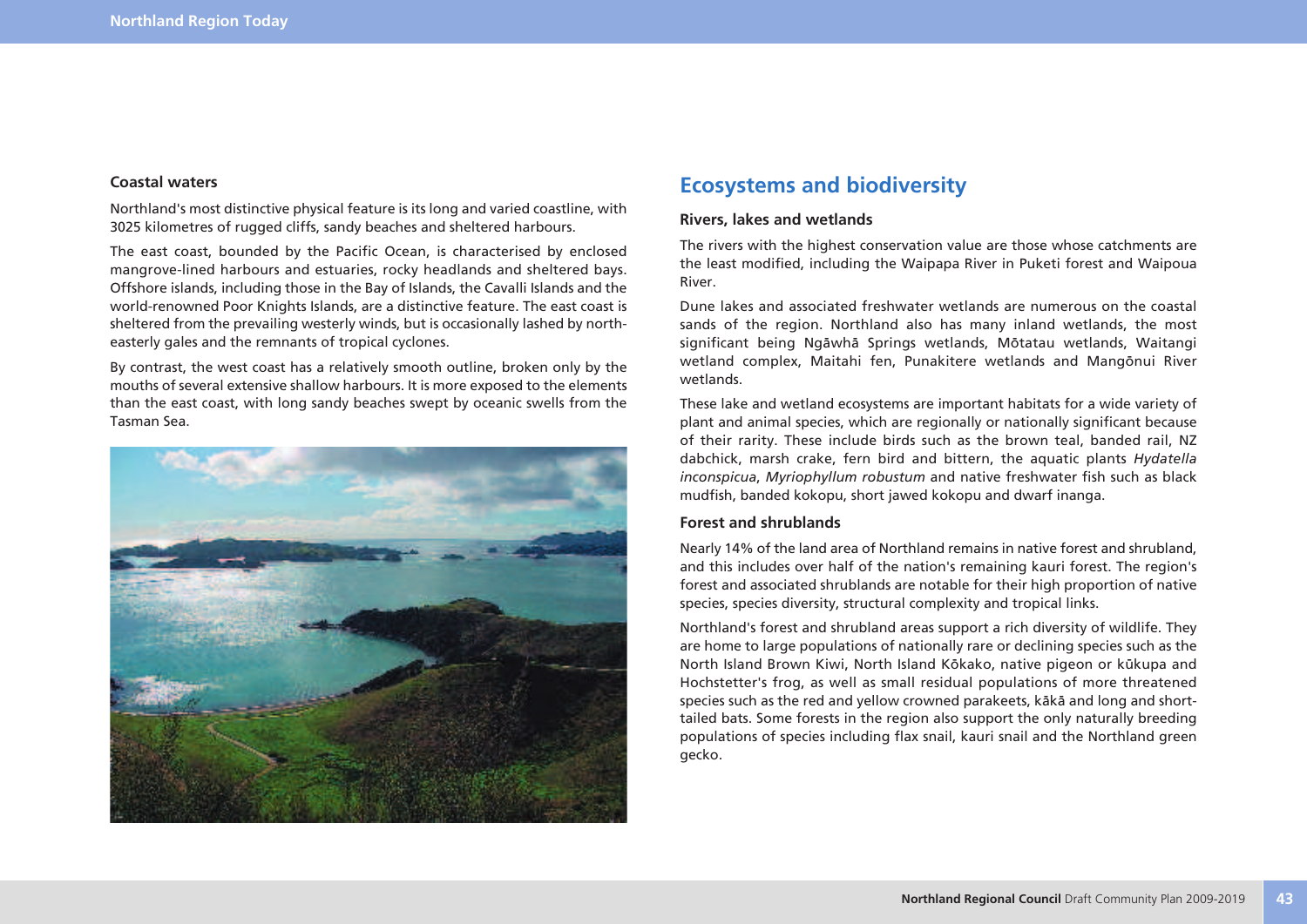#### **Coastal waters**

Northland's most distinctive physical feature is its long and varied coastline, with 3025 kilometres of rugged cliffs, sandy beaches and sheltered harbours.

The east coast, bounded by the Pacific Ocean, is characterised by enclosed mangrove-lined harbours and estuaries, rocky headlands and sheltered bays. Offshore islands, including those in the Bay of Islands, the Cavalli Islands and the world-renowned Poor Knights Islands, are a distinctive feature. The east coast is sheltered from the prevailing westerly winds, but is occasionally lashed by northeasterly gales and the remnants of tropical cyclones.

By contrast, the west coast has a relatively smooth outline, broken only by the mouths of several extensive shallow harbours. It is more exposed to the elements than the east coast, with long sandy beaches swept by oceanic swells from the Tasman Sea.



### **Ecosystems and biodiversity**

#### **Rivers, lakes and wetlands**

The rivers with the highest conservation value are those whose catchments are the least modified, including the Waipapa River in Puketi forest and Waipoua River.

Dune lakes and associated freshwater wetlands are numerous on the coastal sands of the region. Northland also has many inland wetlands, the most significant being Ngäwhä Springs wetlands, Mötatau wetlands, Waitangi wetland complex, Maitahi fen, Punakitere wetlands and Mangönui River wetlands.

These lake and wetland ecosystems are important habitats for a wide variety of plant and animal species, which are regionally or nationally significant because of their rarity. These include birds such as the brown teal, banded rail, NZ dabchick, marsh crake, fern bird and bittern, the aquatic plants *Hydatella inconspicua*, *Myriophyllum robustum* and native freshwater fish such as black mudfish, banded kokopu, short jawed kokopu and dwarf inanga.

#### **Forest and shrublands**

Nearly 14% of the land area of Northland remains in native forest and shrubland, and this includes over half of the nation's remaining kauri forest. The region's forest and associated shrublands are notable for their high proportion of native species, species diversity, structural complexity and tropical links.

Northland's forest and shrubland areas support a rich diversity of wildlife. They are home to large populations of nationally rare or declining species such as the North Island Brown Kiwi, North Island Kökako, native pigeon or kükupa and Hochstetter's frog, as well as small residual populations of more threatened species such as the red and yellow crowned parakeets, käkä and long and shorttailed bats. Some forests in the region also support the only naturally breeding populations of species including flax snail, kauri snail and the Northland green gecko.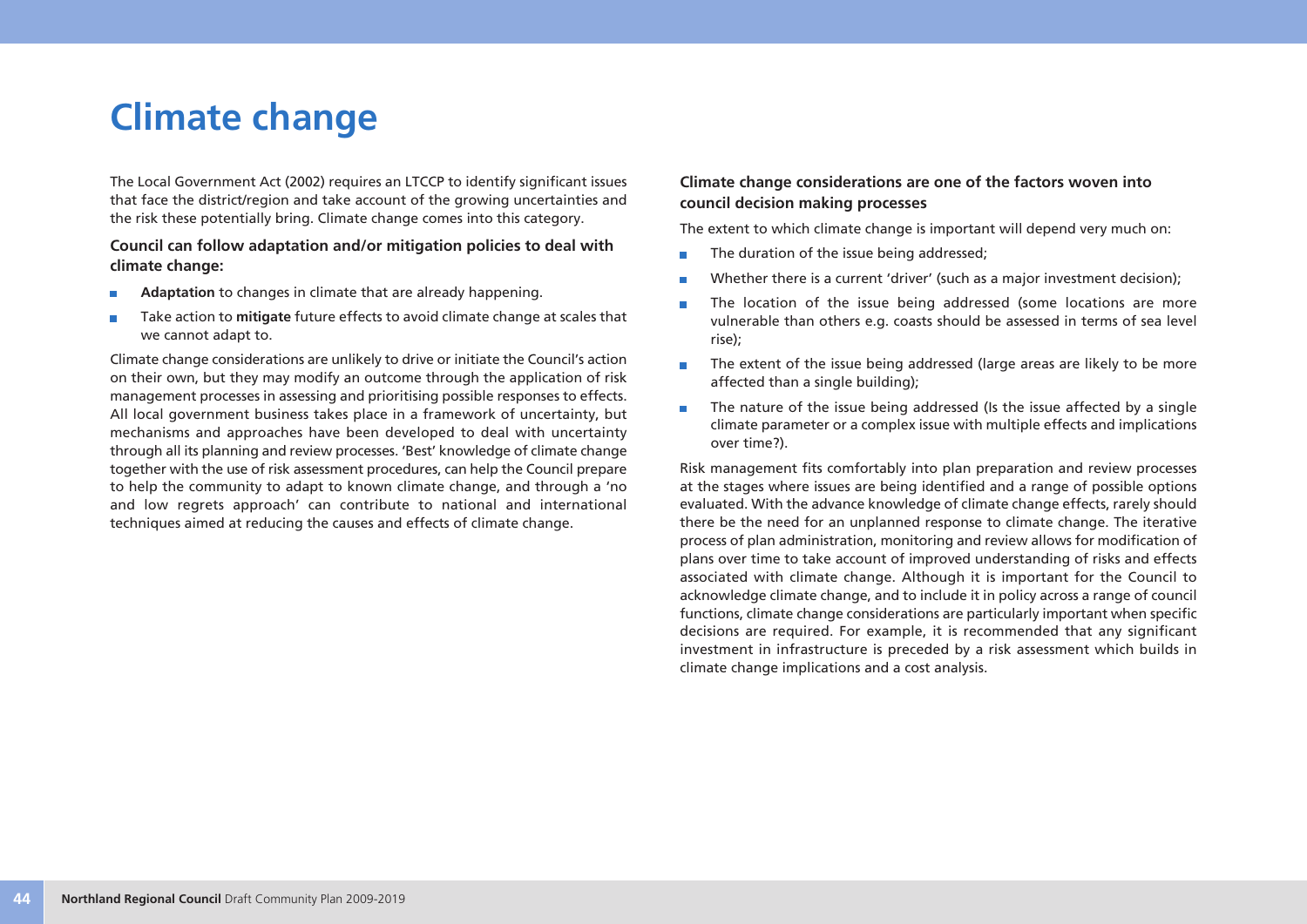# **Climate change**

The Local Government Act (2002) requires an LTCCP to identify significant issues that face the district/region and take account of the growing uncertainties and the risk these potentially bring. Climate change comes into this category.

#### **Council can follow adaptation and/or mitigation policies to deal with climate change:**

- **Adaptation** to changes in climate that are already happening. r.
- Take action to **mitigate** future effects to avoid climate change at scales that × we cannot adapt to.

Climate change considerations are unlikely to drive or initiate the Council's action on their own, but they may modify an outcome through the application of risk management processes in assessing and prioritising possible responses to effects. All local government business takes place in a framework of uncertainty, but mechanisms and approaches have been developed to deal with uncertainty through all its planning and review processes. 'Best' knowledge of climate change together with the use of risk assessment procedures, can help the Council prepare to help the community to adapt to known climate change, and through a 'no and low regrets approach' can contribute to national and international techniques aimed at reducing the causes and effects of climate change.

#### **Climate change considerations are one of the factors woven into council decision making processes**

The extent to which climate change is important will depend very much on:

- The duration of the issue being addressed;  $\overline{\phantom{a}}$
- Whether there is a current 'driver' (such as a major investment decision); П
- The location of the issue being addressed (some locations are more vulnerable than others e.g. coasts should be assessed in terms of sea level rise);
- The extent of the issue being addressed (large areas are likely to be more m. affected than a single building);
- The nature of the issue being addressed (Is the issue affected by a single m. climate parameter or a complex issue with multiple effects and implications over time?).

Risk management fits comfortably into plan preparation and review processes at the stages where issues are being identified and a range of possible options evaluated. With the advance knowledge of climate change effects, rarely should there be the need for an unplanned response to climate change. The iterative process of plan administration, monitoring and review allows for modification of plans over time to take account of improved understanding of risks and effects associated with climate change. Although it is important for the Council to acknowledge climate change, and to include it in policy across a range of council functions, climate change considerations are particularly important when specific decisions are required. For example, it is recommended that any significant investment in infrastructure is preceded by a risk assessment which builds in climate change implications and a cost analysis.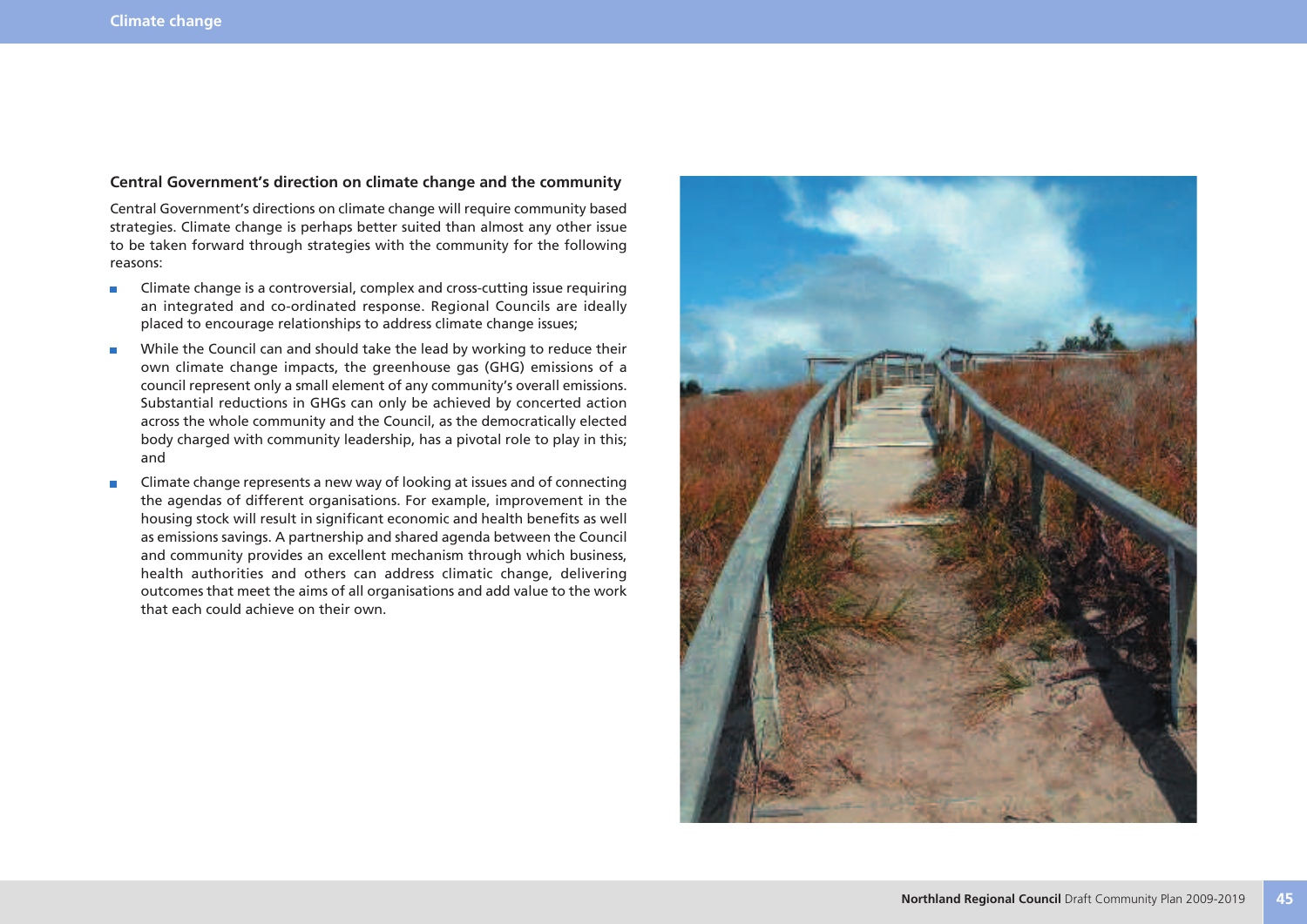#### **Central Government's direction on climate change and the community**

Central Government's directions on climate change will require community based strategies. Climate change is perhaps better suited than almost any other issue to be taken forward through strategies with the community for the following reasons:

- Climate change is a controversial, complex and cross-cutting issue requiring  $\overline{\phantom{a}}$ an integrated and co-ordinated response. Regional Councils are ideally placed to encourage relationships to address climate change issues;
- While the Council can and should take the lead by working to reduce their  $\overline{\phantom{a}}$ own climate change impacts, the greenhouse gas (GHG) emissions of a council represent only a small element of any community's overall emissions. Substantial reductions in GHGs can only be achieved by concerted action across the whole community and the Council, as the democratically elected body charged with community leadership, has a pivotal role to play in this; and
- Climate change represents a new way of looking at issues and of connecting the agendas of different organisations. For example, improvement in the housing stock will result in significant economic and health benefits as well as emissions savings. A partnership and shared agenda between the Council and community provides an excellent mechanism through which business, health authorities and others can address climatic change, delivering outcomes that meet the aims of all organisations and add value to the work that each could achieve on their own.